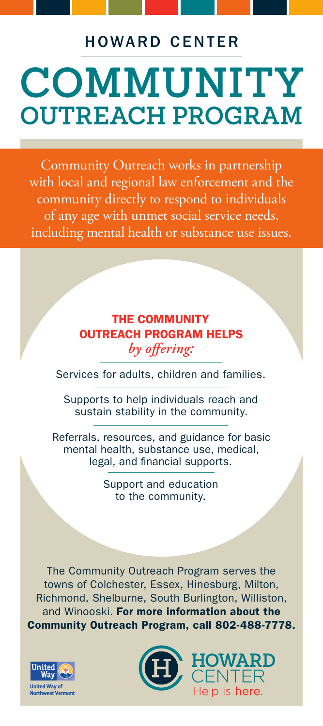### HOWARD CENTER

# **COMMUNITY OUTREACH PROGRAM**

Community Outreach works in partnership with local and regional law enforcement and the community directly to respond to individuals of any age with unmet social service needs, including mental health or substance use issues.

#### THE COMMUNITY OUTREACH PROGRAM HELPS *by offering:*

Services for adults, children and families.

Supports to help individuals reach and sustain stability in the community.

Referrals, resources, and guidance for basic mental health, substance use, medical, legal, and financial supports.

> Support and education to the community.

The Community Outreach Program serves the towns of Colchester, Essex, Hinesburg, Milton, Richmond, Shelburne, South Burlington, Williston, and Winooski. For more information about the Community Outreach Program, call 802-488-7778.